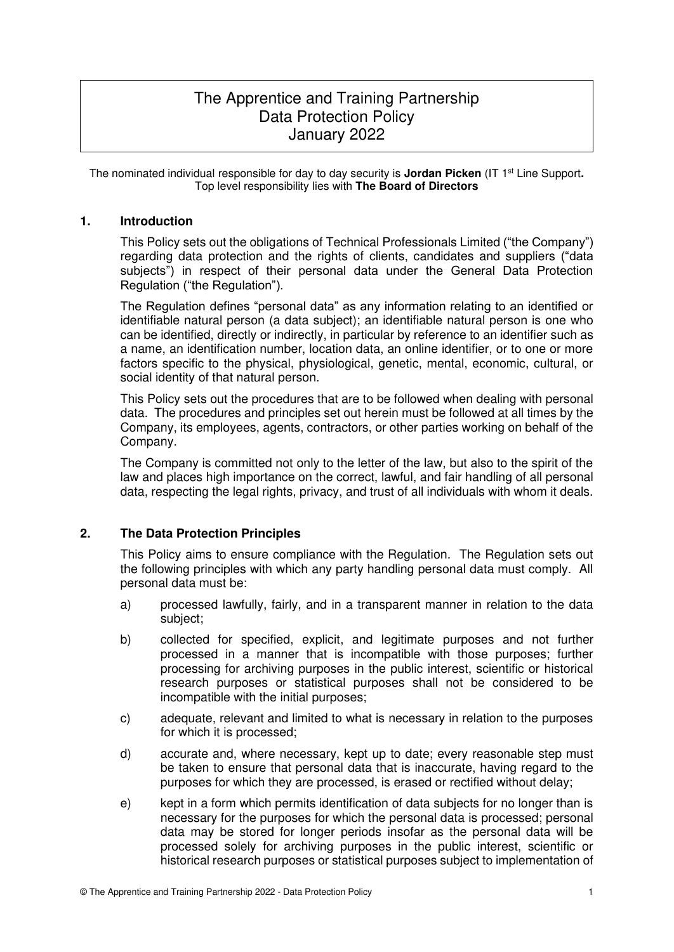# The Apprentice and Training Partnership Data Protection Policy January 2022

The nominated individual responsible for day to day security is **Jordan Picken** (IT 1st Line Support**.**  Top level responsibility lies with **The Board of Directors**

## **1. Introduction**

This Policy sets out the obligations of Technical Professionals Limited ("the Company") regarding data protection and the rights of clients, candidates and suppliers ("data subjects") in respect of their personal data under the General Data Protection Regulation ("the Regulation").

The Regulation defines "personal data" as any information relating to an identified or identifiable natural person (a data subject); an identifiable natural person is one who can be identified, directly or indirectly, in particular by reference to an identifier such as a name, an identification number, location data, an online identifier, or to one or more factors specific to the physical, physiological, genetic, mental, economic, cultural, or social identity of that natural person.

This Policy sets out the procedures that are to be followed when dealing with personal data. The procedures and principles set out herein must be followed at all times by the Company, its employees, agents, contractors, or other parties working on behalf of the Company.

The Company is committed not only to the letter of the law, but also to the spirit of the law and places high importance on the correct, lawful, and fair handling of all personal data, respecting the legal rights, privacy, and trust of all individuals with whom it deals.

## **2. The Data Protection Principles**

This Policy aims to ensure compliance with the Regulation. The Regulation sets out the following principles with which any party handling personal data must comply. All personal data must be:

- a) processed lawfully, fairly, and in a transparent manner in relation to the data subject;
- b) collected for specified, explicit, and legitimate purposes and not further processed in a manner that is incompatible with those purposes; further processing for archiving purposes in the public interest, scientific or historical research purposes or statistical purposes shall not be considered to be incompatible with the initial purposes;
- c) adequate, relevant and limited to what is necessary in relation to the purposes for which it is processed;
- d) accurate and, where necessary, kept up to date; every reasonable step must be taken to ensure that personal data that is inaccurate, having regard to the purposes for which they are processed, is erased or rectified without delay;
- e) kept in a form which permits identification of data subjects for no longer than is necessary for the purposes for which the personal data is processed; personal data may be stored for longer periods insofar as the personal data will be processed solely for archiving purposes in the public interest, scientific or historical research purposes or statistical purposes subject to implementation of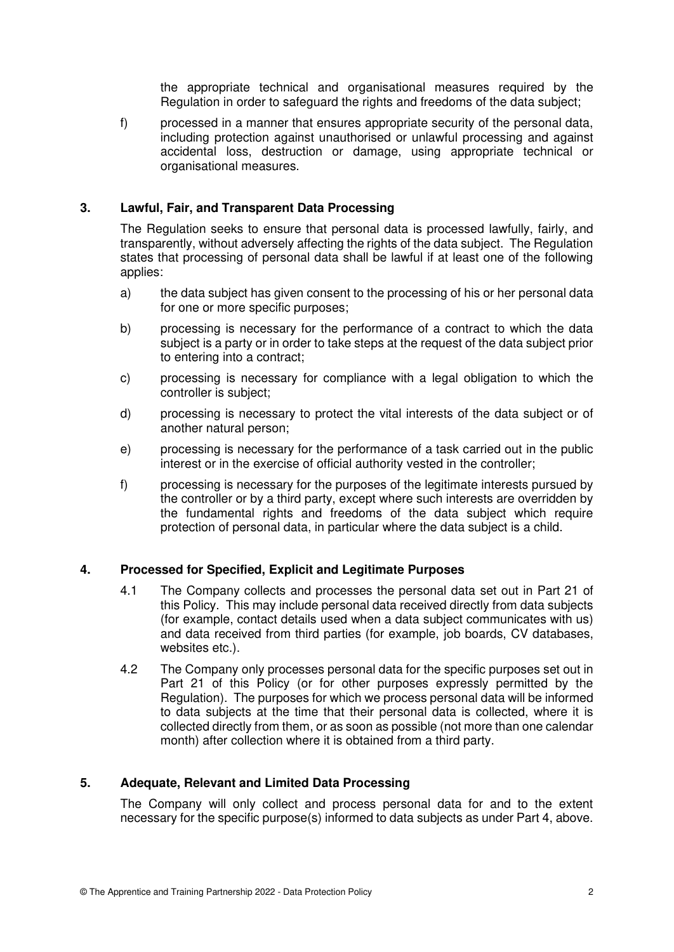the appropriate technical and organisational measures required by the Regulation in order to safeguard the rights and freedoms of the data subject;

f) processed in a manner that ensures appropriate security of the personal data, including protection against unauthorised or unlawful processing and against accidental loss, destruction or damage, using appropriate technical or organisational measures.

## **3. Lawful, Fair, and Transparent Data Processing**

The Regulation seeks to ensure that personal data is processed lawfully, fairly, and transparently, without adversely affecting the rights of the data subject. The Regulation states that processing of personal data shall be lawful if at least one of the following applies:

- a) the data subject has given consent to the processing of his or her personal data for one or more specific purposes;
- b) processing is necessary for the performance of a contract to which the data subject is a party or in order to take steps at the request of the data subject prior to entering into a contract;
- c) processing is necessary for compliance with a legal obligation to which the controller is subject;
- d) processing is necessary to protect the vital interests of the data subject or of another natural person;
- e) processing is necessary for the performance of a task carried out in the public interest or in the exercise of official authority vested in the controller;
- f) processing is necessary for the purposes of the legitimate interests pursued by the controller or by a third party, except where such interests are overridden by the fundamental rights and freedoms of the data subject which require protection of personal data, in particular where the data subject is a child.

## **4. Processed for Specified, Explicit and Legitimate Purposes**

- 4.1 The Company collects and processes the personal data set out in Part 21 of this Policy. This may include personal data received directly from data subjects (for example, contact details used when a data subject communicates with us) and data received from third parties (for example, job boards, CV databases, websites etc.).
- 4.2 The Company only processes personal data for the specific purposes set out in Part 21 of this Policy (or for other purposes expressly permitted by the Regulation). The purposes for which we process personal data will be informed to data subjects at the time that their personal data is collected, where it is collected directly from them, or as soon as possible (not more than one calendar month) after collection where it is obtained from a third party.

## **5. Adequate, Relevant and Limited Data Processing**

The Company will only collect and process personal data for and to the extent necessary for the specific purpose(s) informed to data subjects as under Part 4, above.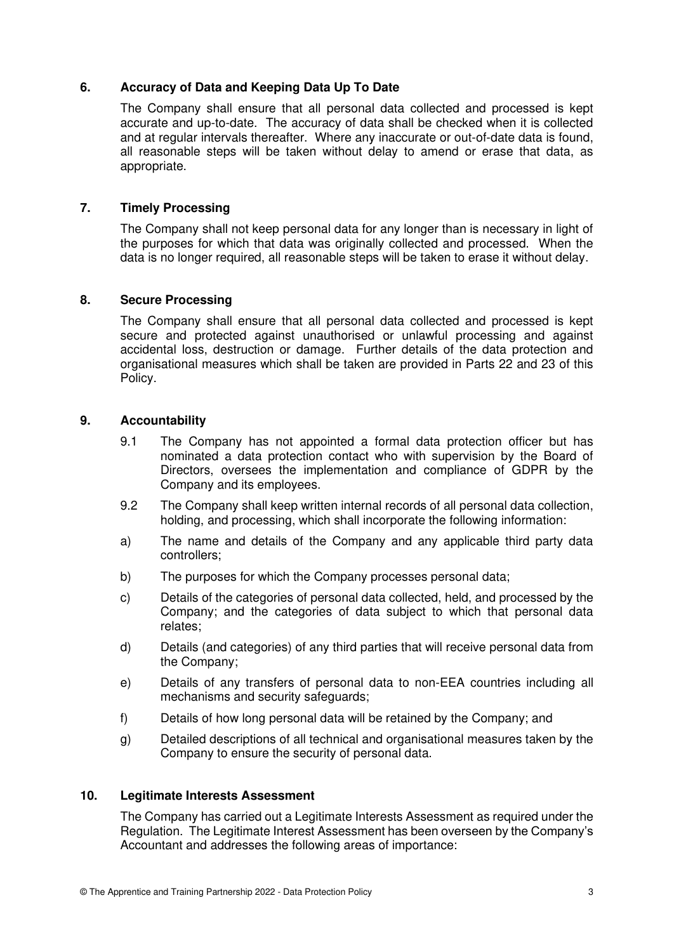## **6. Accuracy of Data and Keeping Data Up To Date**

The Company shall ensure that all personal data collected and processed is kept accurate and up-to-date. The accuracy of data shall be checked when it is collected and at regular intervals thereafter. Where any inaccurate or out-of-date data is found, all reasonable steps will be taken without delay to amend or erase that data, as appropriate.

## **7. Timely Processing**

The Company shall not keep personal data for any longer than is necessary in light of the purposes for which that data was originally collected and processed. When the data is no longer required, all reasonable steps will be taken to erase it without delay.

## **8. Secure Processing**

The Company shall ensure that all personal data collected and processed is kept secure and protected against unauthorised or unlawful processing and against accidental loss, destruction or damage. Further details of the data protection and organisational measures which shall be taken are provided in Parts 22 and 23 of this Policy.

## **9. Accountability**

- 9.1 The Company has not appointed a formal data protection officer but has nominated a data protection contact who with supervision by the Board of Directors, oversees the implementation and compliance of GDPR by the Company and its employees.
- 9.2 The Company shall keep written internal records of all personal data collection, holding, and processing, which shall incorporate the following information:
- a) The name and details of the Company and any applicable third party data controllers;
- b) The purposes for which the Company processes personal data;
- c) Details of the categories of personal data collected, held, and processed by the Company; and the categories of data subject to which that personal data relates;
- d) Details (and categories) of any third parties that will receive personal data from the Company;
- e) Details of any transfers of personal data to non-EEA countries including all mechanisms and security safeguards;
- f) Details of how long personal data will be retained by the Company; and
- g) Detailed descriptions of all technical and organisational measures taken by the Company to ensure the security of personal data.

## **10. Legitimate Interests Assessment**

The Company has carried out a Legitimate Interests Assessment as required under the Regulation. The Legitimate Interest Assessment has been overseen by the Company's Accountant and addresses the following areas of importance: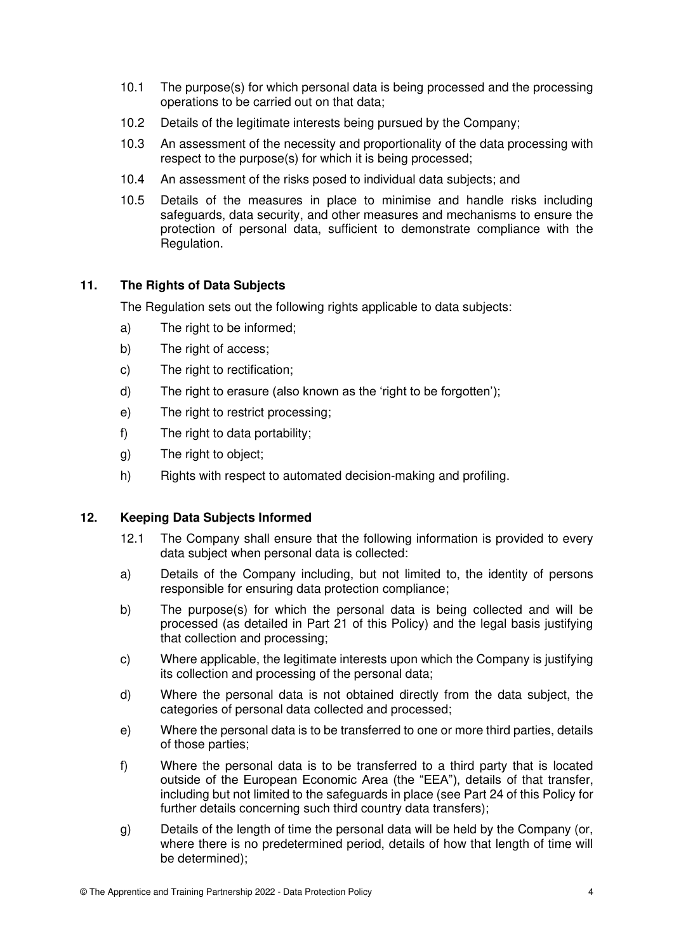- 10.1 The purpose(s) for which personal data is being processed and the processing operations to be carried out on that data;
- 10.2 Details of the legitimate interests being pursued by the Company;
- 10.3 An assessment of the necessity and proportionality of the data processing with respect to the purpose(s) for which it is being processed;
- 10.4 An assessment of the risks posed to individual data subjects; and
- 10.5 Details of the measures in place to minimise and handle risks including safeguards, data security, and other measures and mechanisms to ensure the protection of personal data, sufficient to demonstrate compliance with the Regulation.

## **11. The Rights of Data Subjects**

The Regulation sets out the following rights applicable to data subjects:

- a) The right to be informed;
- b) The right of access;
- c) The right to rectification;
- d) The right to erasure (also known as the 'right to be forgotten');
- e) The right to restrict processing;
- f) The right to data portability;
- g) The right to object;
- h) Rights with respect to automated decision-making and profiling.

#### **12. Keeping Data Subjects Informed**

- 12.1 The Company shall ensure that the following information is provided to every data subject when personal data is collected:
- a) Details of the Company including, but not limited to, the identity of persons responsible for ensuring data protection compliance;
- b) The purpose(s) for which the personal data is being collected and will be processed (as detailed in Part 21 of this Policy) and the legal basis justifying that collection and processing;
- c) Where applicable, the legitimate interests upon which the Company is justifying its collection and processing of the personal data;
- d) Where the personal data is not obtained directly from the data subject, the categories of personal data collected and processed;
- e) Where the personal data is to be transferred to one or more third parties, details of those parties;
- f) Where the personal data is to be transferred to a third party that is located outside of the European Economic Area (the "EEA"), details of that transfer, including but not limited to the safeguards in place (see Part 24 of this Policy for further details concerning such third country data transfers);
- g) Details of the length of time the personal data will be held by the Company (or, where there is no predetermined period, details of how that length of time will be determined);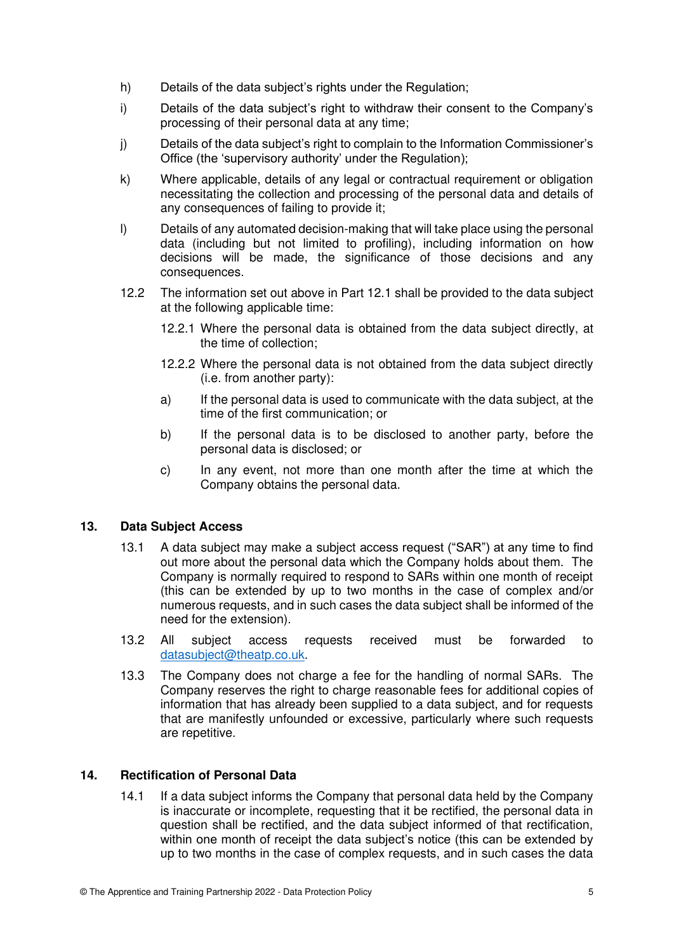- h) Details of the data subiect's rights under the Regulation:
- i) Details of the data subject's right to withdraw their consent to the Company's processing of their personal data at any time;
- j) Details of the data subject's right to complain to the Information Commissioner's Office (the 'supervisory authority' under the Regulation);
- k) Where applicable, details of any legal or contractual requirement or obligation necessitating the collection and processing of the personal data and details of any consequences of failing to provide it;
- l) Details of any automated decision-making that will take place using the personal data (including but not limited to profiling), including information on how decisions will be made, the significance of those decisions and any consequences.
- 12.2 The information set out above in Part 12.1 shall be provided to the data subject at the following applicable time:
	- 12.2.1 Where the personal data is obtained from the data subject directly, at the time of collection;
	- 12.2.2 Where the personal data is not obtained from the data subject directly (i.e. from another party):
	- a) If the personal data is used to communicate with the data subject, at the time of the first communication; or
	- b) If the personal data is to be disclosed to another party, before the personal data is disclosed; or
	- c) In any event, not more than one month after the time at which the Company obtains the personal data.

## **13. Data Subject Access**

- 13.1 A data subject may make a subject access request ("SAR") at any time to find out more about the personal data which the Company holds about them. The Company is normally required to respond to SARs within one month of receipt (this can be extended by up to two months in the case of complex and/or numerous requests, and in such cases the data subject shall be informed of the need for the extension).
- 13.2 All subject access requests received must be forwarded to [datasubject@theatp.co.uk.](mailto:datasubject@projeq.com)
- 13.3 The Company does not charge a fee for the handling of normal SARs. The Company reserves the right to charge reasonable fees for additional copies of information that has already been supplied to a data subject, and for requests that are manifestly unfounded or excessive, particularly where such requests are repetitive.

# **14. Rectification of Personal Data**

14.1 If a data subject informs the Company that personal data held by the Company is inaccurate or incomplete, requesting that it be rectified, the personal data in question shall be rectified, and the data subject informed of that rectification, within one month of receipt the data subject's notice (this can be extended by up to two months in the case of complex requests, and in such cases the data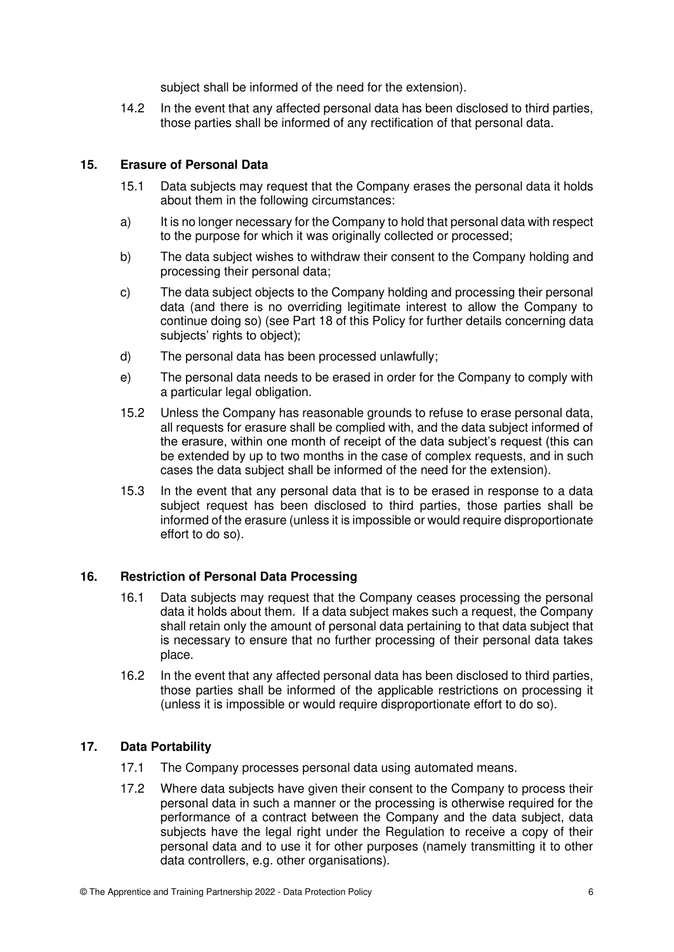subject shall be informed of the need for the extension).

14.2 In the event that any affected personal data has been disclosed to third parties, those parties shall be informed of any rectification of that personal data.

# **15. Erasure of Personal Data**

- 15.1 Data subjects may request that the Company erases the personal data it holds about them in the following circumstances:
- a) It is no longer necessary for the Company to hold that personal data with respect to the purpose for which it was originally collected or processed;
- b) The data subject wishes to withdraw their consent to the Company holding and processing their personal data;
- c) The data subject objects to the Company holding and processing their personal data (and there is no overriding legitimate interest to allow the Company to continue doing so) (see Part 18 of this Policy for further details concerning data subjects' rights to object);
- d) The personal data has been processed unlawfully;
- e) The personal data needs to be erased in order for the Company to comply with a particular legal obligation.
- 15.2 Unless the Company has reasonable grounds to refuse to erase personal data, all requests for erasure shall be complied with, and the data subject informed of the erasure, within one month of receipt of the data subject's request (this can be extended by up to two months in the case of complex requests, and in such cases the data subject shall be informed of the need for the extension).
- 15.3 In the event that any personal data that is to be erased in response to a data subject request has been disclosed to third parties, those parties shall be informed of the erasure (unless it is impossible or would require disproportionate effort to do so).

## **16. Restriction of Personal Data Processing**

- 16.1 Data subjects may request that the Company ceases processing the personal data it holds about them. If a data subject makes such a request, the Company shall retain only the amount of personal data pertaining to that data subject that is necessary to ensure that no further processing of their personal data takes place.
- 16.2 In the event that any affected personal data has been disclosed to third parties, those parties shall be informed of the applicable restrictions on processing it (unless it is impossible or would require disproportionate effort to do so).

## **17. Data Portability**

- 17.1 The Company processes personal data using automated means.
- 17.2 Where data subjects have given their consent to the Company to process their personal data in such a manner or the processing is otherwise required for the performance of a contract between the Company and the data subject, data subjects have the legal right under the Regulation to receive a copy of their personal data and to use it for other purposes (namely transmitting it to other data controllers, e.g. other organisations).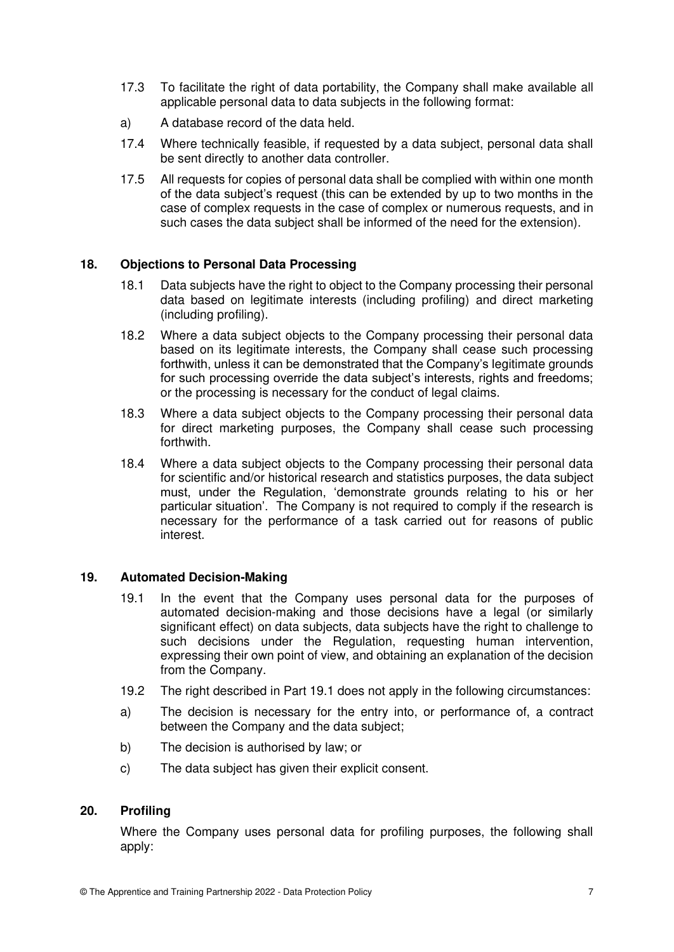- 17.3 To facilitate the right of data portability, the Company shall make available all applicable personal data to data subjects in the following format:
- a) A database record of the data held.
- 17.4 Where technically feasible, if requested by a data subject, personal data shall be sent directly to another data controller.
- 17.5 All requests for copies of personal data shall be complied with within one month of the data subject's request (this can be extended by up to two months in the case of complex requests in the case of complex or numerous requests, and in such cases the data subject shall be informed of the need for the extension).

# **18. Objections to Personal Data Processing**

- 18.1 Data subjects have the right to object to the Company processing their personal data based on legitimate interests (including profiling) and direct marketing (including profiling).
- 18.2 Where a data subject objects to the Company processing their personal data based on its legitimate interests, the Company shall cease such processing forthwith, unless it can be demonstrated that the Company's legitimate grounds for such processing override the data subject's interests, rights and freedoms; or the processing is necessary for the conduct of legal claims.
- 18.3 Where a data subject objects to the Company processing their personal data for direct marketing purposes, the Company shall cease such processing forthwith.
- 18.4 Where a data subject objects to the Company processing their personal data for scientific and/or historical research and statistics purposes, the data subject must, under the Regulation, 'demonstrate grounds relating to his or her particular situation'. The Company is not required to comply if the research is necessary for the performance of a task carried out for reasons of public interest.

## **19. Automated Decision-Making**

- 19.1 In the event that the Company uses personal data for the purposes of automated decision-making and those decisions have a legal (or similarly significant effect) on data subjects, data subjects have the right to challenge to such decisions under the Regulation, requesting human intervention, expressing their own point of view, and obtaining an explanation of the decision from the Company.
- 19.2 The right described in Part 19.1 does not apply in the following circumstances:
- a) The decision is necessary for the entry into, or performance of, a contract between the Company and the data subject;
- b) The decision is authorised by law; or
- c) The data subject has given their explicit consent.

## **20. Profiling**

Where the Company uses personal data for profiling purposes, the following shall apply: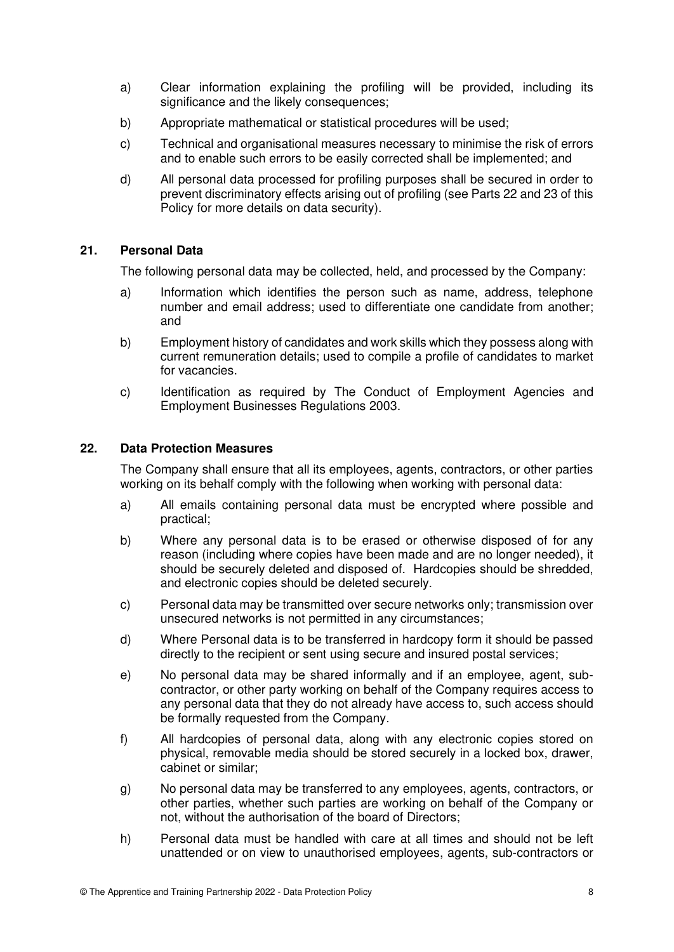- a) Clear information explaining the profiling will be provided, including its significance and the likely consequences;
- b) Appropriate mathematical or statistical procedures will be used;
- c) Technical and organisational measures necessary to minimise the risk of errors and to enable such errors to be easily corrected shall be implemented; and
- d) All personal data processed for profiling purposes shall be secured in order to prevent discriminatory effects arising out of profiling (see Parts 22 and 23 of this Policy for more details on data security).

# **21. Personal Data**

The following personal data may be collected, held, and processed by the Company:

- a) Information which identifies the person such as name, address, telephone number and email address; used to differentiate one candidate from another; and
- b) Employment history of candidates and work skills which they possess along with current remuneration details; used to compile a profile of candidates to market for vacancies.
- c) Identification as required by The Conduct of Employment Agencies and Employment Businesses Regulations 2003.

## **22. Data Protection Measures**

The Company shall ensure that all its employees, agents, contractors, or other parties working on its behalf comply with the following when working with personal data:

- a) All emails containing personal data must be encrypted where possible and practical;
- b) Where any personal data is to be erased or otherwise disposed of for any reason (including where copies have been made and are no longer needed), it should be securely deleted and disposed of. Hardcopies should be shredded, and electronic copies should be deleted securely.
- c) Personal data may be transmitted over secure networks only; transmission over unsecured networks is not permitted in any circumstances;
- d) Where Personal data is to be transferred in hardcopy form it should be passed directly to the recipient or sent using secure and insured postal services;
- e) No personal data may be shared informally and if an employee, agent, subcontractor, or other party working on behalf of the Company requires access to any personal data that they do not already have access to, such access should be formally requested from the Company.
- f) All hardcopies of personal data, along with any electronic copies stored on physical, removable media should be stored securely in a locked box, drawer, cabinet or similar;
- g) No personal data may be transferred to any employees, agents, contractors, or other parties, whether such parties are working on behalf of the Company or not, without the authorisation of the board of Directors;
- h) Personal data must be handled with care at all times and should not be left unattended or on view to unauthorised employees, agents, sub-contractors or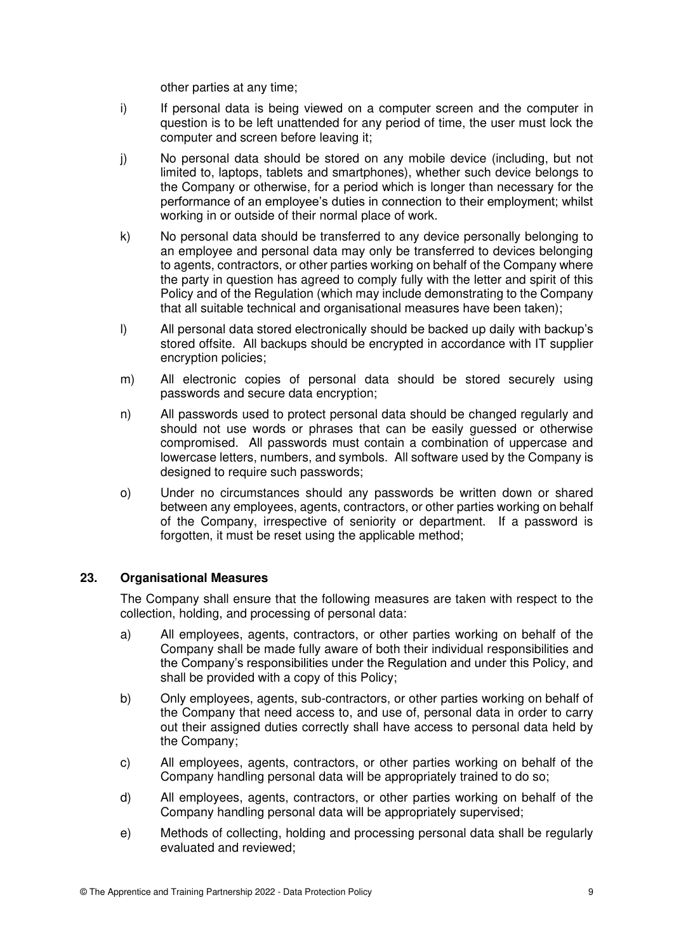other parties at any time;

- i) If personal data is being viewed on a computer screen and the computer in question is to be left unattended for any period of time, the user must lock the computer and screen before leaving it;
- j) No personal data should be stored on any mobile device (including, but not limited to, laptops, tablets and smartphones), whether such device belongs to the Company or otherwise, for a period which is longer than necessary for the performance of an employee's duties in connection to their employment; whilst working in or outside of their normal place of work.
- k) No personal data should be transferred to any device personally belonging to an employee and personal data may only be transferred to devices belonging to agents, contractors, or other parties working on behalf of the Company where the party in question has agreed to comply fully with the letter and spirit of this Policy and of the Regulation (which may include demonstrating to the Company that all suitable technical and organisational measures have been taken);
- l) All personal data stored electronically should be backed up daily with backup's stored offsite. All backups should be encrypted in accordance with IT supplier encryption policies;
- m) All electronic copies of personal data should be stored securely using passwords and secure data encryption;
- n) All passwords used to protect personal data should be changed regularly and should not use words or phrases that can be easily guessed or otherwise compromised. All passwords must contain a combination of uppercase and lowercase letters, numbers, and symbols.All software used by the Company is designed to require such passwords;
- o) Under no circumstances should any passwords be written down or shared between any employees, agents, contractors, or other parties working on behalf of the Company, irrespective of seniority or department. If a password is forgotten, it must be reset using the applicable method;

## **23. Organisational Measures**

The Company shall ensure that the following measures are taken with respect to the collection, holding, and processing of personal data:

- a) All employees, agents, contractors, or other parties working on behalf of the Company shall be made fully aware of both their individual responsibilities and the Company's responsibilities under the Regulation and under this Policy, and shall be provided with a copy of this Policy;
- b) Only employees, agents, sub-contractors, or other parties working on behalf of the Company that need access to, and use of, personal data in order to carry out their assigned duties correctly shall have access to personal data held by the Company;
- c) All employees, agents, contractors, or other parties working on behalf of the Company handling personal data will be appropriately trained to do so;
- d) All employees, agents, contractors, or other parties working on behalf of the Company handling personal data will be appropriately supervised;
- e) Methods of collecting, holding and processing personal data shall be regularly evaluated and reviewed;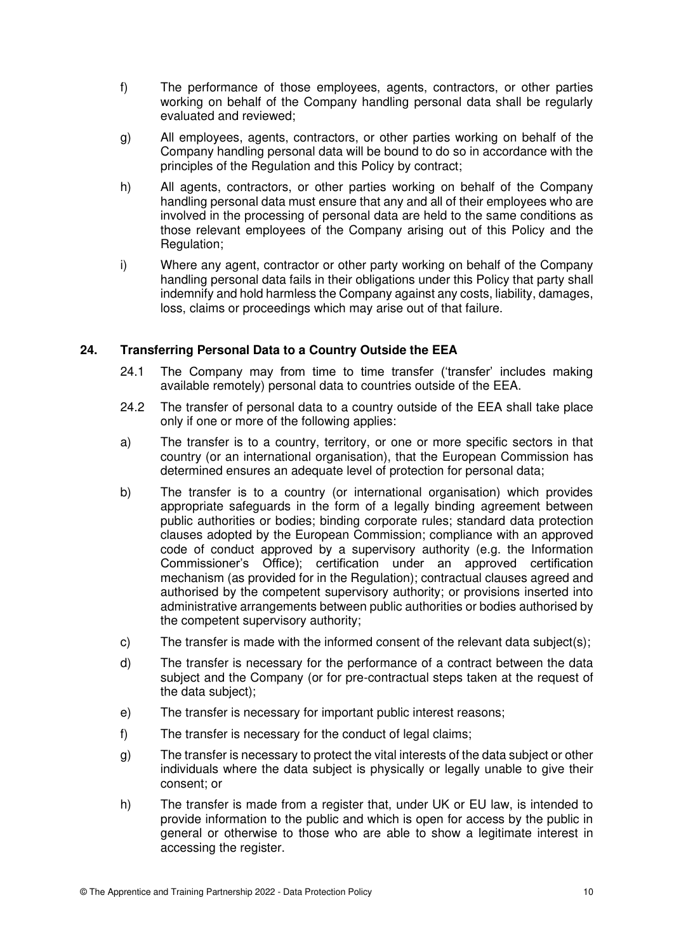- f) The performance of those employees, agents, contractors, or other parties working on behalf of the Company handling personal data shall be regularly evaluated and reviewed;
- g) All employees, agents, contractors, or other parties working on behalf of the Company handling personal data will be bound to do so in accordance with the principles of the Regulation and this Policy by contract;
- h) All agents, contractors, or other parties working on behalf of the Company handling personal data must ensure that any and all of their employees who are involved in the processing of personal data are held to the same conditions as those relevant employees of the Company arising out of this Policy and the Regulation;
- i) Where any agent, contractor or other party working on behalf of the Company handling personal data fails in their obligations under this Policy that party shall indemnify and hold harmless the Company against any costs, liability, damages, loss, claims or proceedings which may arise out of that failure.

# **24. Transferring Personal Data to a Country Outside the EEA**

- 24.1 The Company may from time to time transfer ('transfer' includes making available remotely) personal data to countries outside of the EEA.
- 24.2 The transfer of personal data to a country outside of the EEA shall take place only if one or more of the following applies:
- a) The transfer is to a country, territory, or one or more specific sectors in that country (or an international organisation), that the European Commission has determined ensures an adequate level of protection for personal data;
- b) The transfer is to a country (or international organisation) which provides appropriate safeguards in the form of a legally binding agreement between public authorities or bodies; binding corporate rules; standard data protection clauses adopted by the European Commission; compliance with an approved code of conduct approved by a supervisory authority (e.g. the Information Commissioner's Office); certification under an approved certification mechanism (as provided for in the Regulation); contractual clauses agreed and authorised by the competent supervisory authority; or provisions inserted into administrative arrangements between public authorities or bodies authorised by the competent supervisory authority;
- c) The transfer is made with the informed consent of the relevant data subject(s);
- d) The transfer is necessary for the performance of a contract between the data subject and the Company (or for pre-contractual steps taken at the request of the data subject);
- e) The transfer is necessary for important public interest reasons;
- f) The transfer is necessary for the conduct of legal claims;
- g) The transfer is necessary to protect the vital interests of the data subject or other individuals where the data subject is physically or legally unable to give their consent; or
- h) The transfer is made from a register that, under UK or EU law, is intended to provide information to the public and which is open for access by the public in general or otherwise to those who are able to show a legitimate interest in accessing the register.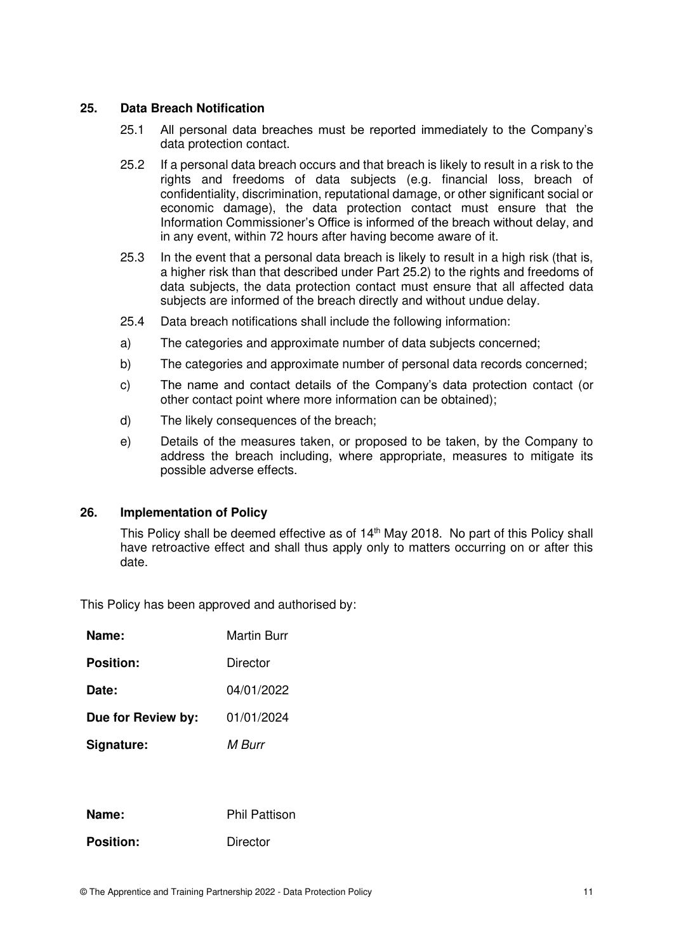#### **25. Data Breach Notification**

- 25.1 All personal data breaches must be reported immediately to the Company's data protection contact.
- 25.2 If a personal data breach occurs and that breach is likely to result in a risk to the rights and freedoms of data subjects (e.g. financial loss, breach of confidentiality, discrimination, reputational damage, or other significant social or economic damage), the data protection contact must ensure that the Information Commissioner's Office is informed of the breach without delay, and in any event, within 72 hours after having become aware of it.
- 25.3 In the event that a personal data breach is likely to result in a high risk (that is, a higher risk than that described under Part 25.2) to the rights and freedoms of data subjects, the data protection contact must ensure that all affected data subjects are informed of the breach directly and without undue delay.
- 25.4 Data breach notifications shall include the following information:
- a) The categories and approximate number of data subjects concerned;
- b) The categories and approximate number of personal data records concerned;
- c) The name and contact details of the Company's data protection contact (or other contact point where more information can be obtained);
- d) The likely consequences of the breach;
- e) Details of the measures taken, or proposed to be taken, by the Company to address the breach including, where appropriate, measures to mitigate its possible adverse effects.

#### **26. Implementation of Policy**

This Policy shall be deemed effective as of 14<sup>th</sup> May 2018. No part of this Policy shall have retroactive effect and shall thus apply only to matters occurring on or after this date.

This Policy has been approved and authorised by:

| Name:              | Martin Burr |
|--------------------|-------------|
| <b>Position:</b>   | Director    |
| Date:              | 04/01/2022  |
| Due for Review by: | 01/01/2024  |
| Signature:         | M Burr      |
|                    |             |
|                    |             |

| Name:            | <b>Phil Pattison</b> |
|------------------|----------------------|
| <b>Position:</b> | Director             |